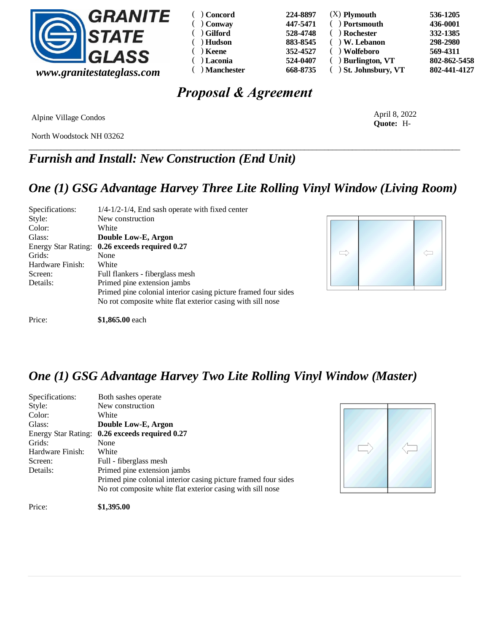

| $( )$ Concord      | 224-8897 | $(X)$ Plymouth          | 536-1205     |
|--------------------|----------|-------------------------|--------------|
| $( )$ Conway       | 447-5471 | ) Portsmouth            | 436-0001     |
| ( ) Gilford        | 528-4748 | ) Rochester             | 332-1385     |
| Hudson<br>$\left($ | 883-8545 | $)$ W. Lebanon          | 298-2980     |
| $( )$ Keene        | 352-4527 | ) Wolfeboro             | 569-4311     |
| $( )$ Laconia      | 524-0407 | ) Burlington, VT        | 802-862-5458 |
| $( )$ Manchester   | 668-8735 | $( )$ St. Johnsbury, VT | 802-441-4127 |

# *Proposal & Agreement*

Alpine Village Condos

North Woodstock NH 03262

\_\_\_\_\_\_\_\_\_\_\_\_\_\_\_\_\_\_\_\_\_\_\_\_\_\_\_\_\_\_\_\_\_\_\_\_\_\_\_\_\_\_\_\_\_\_\_\_\_\_\_\_\_\_\_\_\_\_\_\_\_\_\_\_\_\_\_\_\_\_\_\_\_\_\_\_\_\_\_\_\_\_\_\_\_\_\_\_\_\_\_\_\_\_\_\_\_\_\_\_\_\_\_\_\_\_\_\_ *Furnish and Install: New Construction (End Unit)*

### *One (1) GSG Advantage Harvey Three Lite Rolling Vinyl Window (Living Room)*

| Specifications:            | $1/4 - 1/2 - 1/4$ , End sash operate with fixed center         |
|----------------------------|----------------------------------------------------------------|
| Style:                     | New construction                                               |
| Color:                     | White                                                          |
| Glass:                     | Double Low-E, Argon                                            |
| <b>Energy Star Rating:</b> | 0.26 exceeds required 0.27                                     |
| Grids:                     | None                                                           |
| Hardware Finish:           | White                                                          |
| Screen:                    | Full flankers - fiberglass mesh                                |
| Details:                   | Primed pine extension jambs                                    |
|                            | Primed pine colonial interior casing picture framed four sides |
|                            | No rot composite white flat exterior casing with sill nose     |
|                            |                                                                |



April 8, 2022 **Quote:** H-

Price: **\$1,865.00** each

## *One (1) GSG Advantage Harvey Two Lite Rolling Vinyl Window (Master)*

| Specifications:            | Both sashes operate                                            |
|----------------------------|----------------------------------------------------------------|
| Style:                     | New construction                                               |
| Color:                     | White                                                          |
| Glass:                     | Double Low-E, Argon                                            |
| <b>Energy Star Rating:</b> | 0.26 exceeds required 0.27                                     |
| Grids:                     | None                                                           |
| Hardware Finish:           | White                                                          |
| Screen:                    | Full - fiberglass mesh                                         |
| Details:                   | Primed pine extension jambs                                    |
|                            | Primed pine colonial interior casing picture framed four sides |
|                            | No rot composite white flat exterior casing with sill nose     |



Price: **\$1,395.00**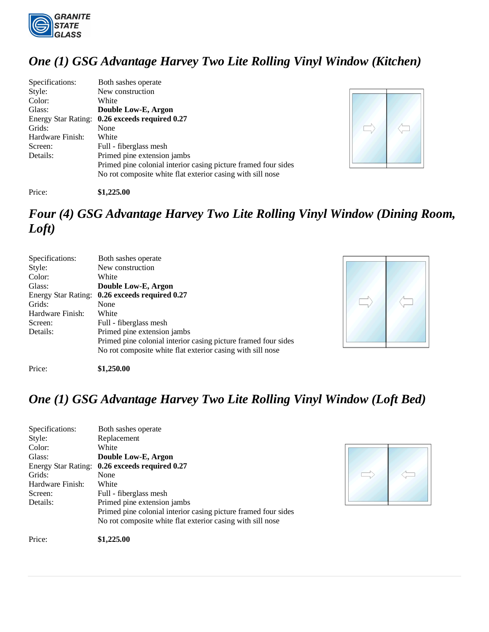

## *One (1) GSG Advantage Harvey Two Lite Rolling Vinyl Window (Kitchen)*

| Specifications:     | Both sashes operate                                            |
|---------------------|----------------------------------------------------------------|
| Style:              | New construction                                               |
| Color:              | White                                                          |
| Glass:              | Double Low-E, Argon                                            |
| Energy Star Rating: | 0.26 exceeds required 0.27                                     |
| Grids:              | None                                                           |
| Hardware Finish:    | White                                                          |
| Screen:             | Full - fiberglass mesh                                         |
| Details:            | Primed pine extension jambs                                    |
|                     | Primed pine colonial interior casing picture framed four sides |
|                     | No rot composite white flat exterior casing with sill nose     |



#### Price: **\$1,225.00**

# *Four (4) GSG Advantage Harvey Two Lite Rolling Vinyl Window (Dining Room, Loft)*

| Specifications:            | Both sashes operate                                            |
|----------------------------|----------------------------------------------------------------|
| Style:                     | New construction                                               |
| Color:                     | White                                                          |
| Glass:                     | Double Low-E, Argon                                            |
| <b>Energy Star Rating:</b> | 0.26 exceeds required 0.27                                     |
| Grids:                     | None                                                           |
| Hardware Finish:           | White                                                          |
| Screen:                    | Full - fiberglass mesh                                         |
| Details:                   | Primed pine extension jambs                                    |
|                            | Primed pine colonial interior casing picture framed four sides |
|                            | No rot composite white flat exterior casing with sill nose     |
|                            |                                                                |



Price: **\$1,250.00** 

## *One (1) GSG Advantage Harvey Two Lite Rolling Vinyl Window (Loft Bed)*

| Specifications:     | Both sashes operate                                            |
|---------------------|----------------------------------------------------------------|
| Style:              | Replacement                                                    |
| Color:              | White                                                          |
| Glass:              | Double Low-E, Argon                                            |
| Energy Star Rating: | 0.26 exceeds required 0.27                                     |
| Grids:              | None                                                           |
| Hardware Finish:    | White                                                          |
| Screen:             | Full - fiberglass mesh                                         |
| Details:            | Primed pine extension jambs                                    |
|                     | Primed pine colonial interior casing picture framed four sides |
|                     | No rot composite white flat exterior casing with sill nose     |
|                     |                                                                |



Price: **\$1,225.00**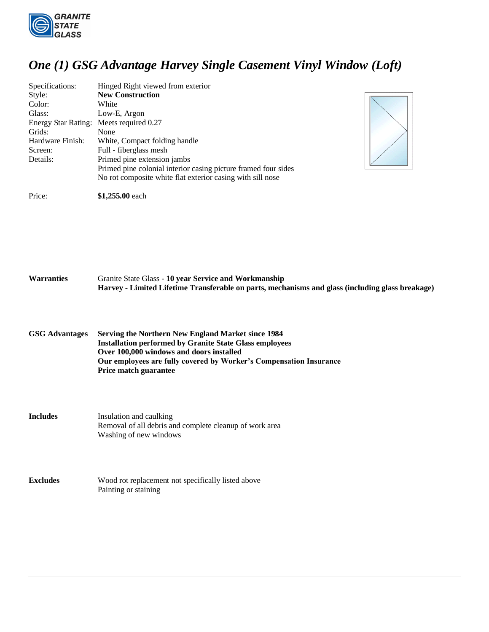

Price: **\$1,255.00** each

## *One (1) GSG Advantage Harvey Single Casement Vinyl Window (Loft)*

| Specifications:            | Hinged Right viewed from exterior                              |
|----------------------------|----------------------------------------------------------------|
| Style:                     | <b>New Construction</b>                                        |
| Color:                     | White                                                          |
| Glass:                     | Low-E, Argon                                                   |
| <b>Energy Star Rating:</b> | Meets required 0.27                                            |
| Grids:                     | None                                                           |
| Hardware Finish:           | White, Compact folding handle                                  |
| Screen:                    | Full - fiberglass mesh                                         |
| Details:                   | Primed pine extension jambs                                    |
|                            | Primed pine colonial interior casing picture framed four sides |
|                            | No rot composite white flat exterior casing with sill nose     |



**Warranties** Granite State Glass - **10 year Service and Workmanship Harvey - Limited Lifetime Transferable on parts, mechanisms and glass (including glass breakage)**

**GSG Advantages Serving the Northern New England Market since 1984 Installation performed by Granite State Glass employees Over 100,000 windows and doors installed Our employees are fully covered by Worker's Compensation Insurance Price match guarantee**

**Includes** Insulation and caulking Removal of all debris and complete cleanup of work area Washing of new windows

**Excludes** Wood rot replacement not specifically listed above Painting or staining